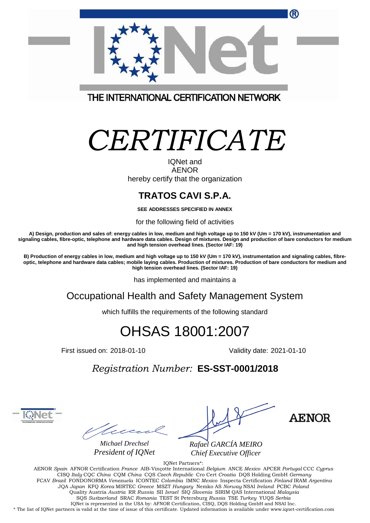| $\boldsymbol{\omega}$                           |
|-------------------------------------------------|
|                                                 |
| THE INTERNATIONAL CERTIFICATION NETWORK         |
| CERTIFICATE<br><b>IQNet and</b><br><b>AENOR</b> |
| hereby certify that the organization            |

## **TRATOS CAVI S.P.A.**

**SEE ADDRESSES SPECIFIED IN ANNEX**

for the following field of activities

**A) Design, production and sales of: energy cables in low, medium and high voltage up to 150 kV (Um = 170 kV), instrumentation and signaling cables, fibre-optic, telephone and hardware data cables. Design of mixtures. Design and production of bare conductors for medium and high tension overhead lines. (Sector IAF: 19)**

**B) Production of energy cables in low, medium and high voltage up to 150 kV (Um = 170 kV), instrumentation and signaling cables, fibreoptic, telephone and hardware data cables; mobile laying cables. Production of mixtures. Production of bare conductors for medium and high tension overhead lines. (Sector IAF: 19)**

has implemented and maintains a

Occupational Health and Safety Management System

which fulfills the requirements of the following standard

## OHSAS 18001:2007

First issued on: 2018-01-10 Validity date: 2021-01-10

*Registration Number:* **ES-SST-0001/2018**

tue

*Michael Drechsel President of IQNet*

*Rafael GARCÍA MEIRO Chief Executive Officer*

AENOR

IQNet Partners\*: AENOR *Spain* AFNOR Certification *France* AIB-Vinçotte International *Belgium* ANCE *Mexico* APCER *Portugal* CCC *Cyprus* CISQ *Italy* CQC *China* CQM *China* CQS *Czech Republic* Cro Cert *Croatia* DQS Holding GmbH *Germany*  FCAV *Brazil* FONDONORMA *Venezuela* ICONTEC *Colombia* IMNC *Mexico* Inspecta Certification *Finland* IRAM *Argentina*  JQA *Japan* KFQ *Korea* MIRTEC *Greece* MSZT *Hungary* Nemko AS *Norway* NSAI *Ireland* PCBC *Poland* Quality Austria *Austria* RR *Russia* SII *Israel* SIQ *Slovenia* SIRIM QAS International *Malaysia*  SQS *Switzerland* SRAC *Romania* TEST St Petersburg *Russia* TSE *Turkey* YUQS *Serbia* IQNet is represented in the USA by: AFNOR Certification, CISQ, DQS Holding GmbH and NSAI Inc. \* The list of IQNet partners is valid at the time of issue of this certificate. Updated information is available under www.iqnet-certification.com